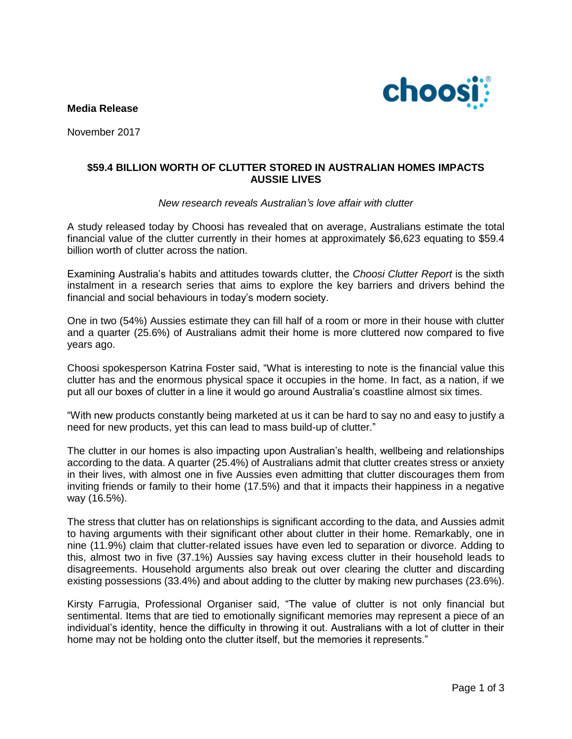**Media Release**



November 2017

# **\$59.4 BILLION WORTH OF CLUTTER STORED IN AUSTRALIAN HOMES IMPACTS AUSSIE LIVES**

## *New research reveals Australian's love affair with clutter*

A study released today by Choosi has revealed that on average, Australians estimate the total financial value of the clutter currently in their homes at approximately \$6,623 equating to \$59.4 billion worth of clutter across the nation.

Examining Australia's habits and attitudes towards clutter, the *Choosi Clutter Report* is the sixth instalment in a research series that aims to explore the key barriers and drivers behind the financial and social behaviours in today's modern society.

One in two (54%) Aussies estimate they can fill half of a room or more in their house with clutter and a quarter (25.6%) of Australians admit their home is more cluttered now compared to five years ago.

Choosi spokesperson Katrina Foster said, "What is interesting to note is the financial value this clutter has and the enormous physical space it occupies in the home. In fact, as a nation, if we put all our boxes of clutter in a line it would go around Australia's coastline almost six times.

"With new products constantly being marketed at us it can be hard to say no and easy to justify a need for new products, yet this can lead to mass build-up of clutter."

The clutter in our homes is also impacting upon Australian's health, wellbeing and relationships according to the data. A quarter (25.4%) of Australians admit that clutter creates stress or anxiety in their lives, with almost one in five Aussies even admitting that clutter discourages them from inviting friends or family to their home (17.5%) and that it impacts their happiness in a negative way (16.5%).

The stress that clutter has on relationships is significant according to the data, and Aussies admit to having arguments with their significant other about clutter in their home. Remarkably, one in nine (11.9%) claim that clutter-related issues have even led to separation or divorce. Adding to this, almost two in five (37.1%) Aussies say having excess clutter in their household leads to disagreements. Household arguments also break out over clearing the clutter and discarding existing possessions (33.4%) and about adding to the clutter by making new purchases (23.6%).

Kirsty Farrugia, Professional Organiser said, "The value of clutter is not only financial but sentimental. Items that are tied to emotionally significant memories may represent a piece of an individual's identity, hence the difficulty in throwing it out. Australians with a lot of clutter in their home may not be holding onto the clutter itself, but the memories it represents."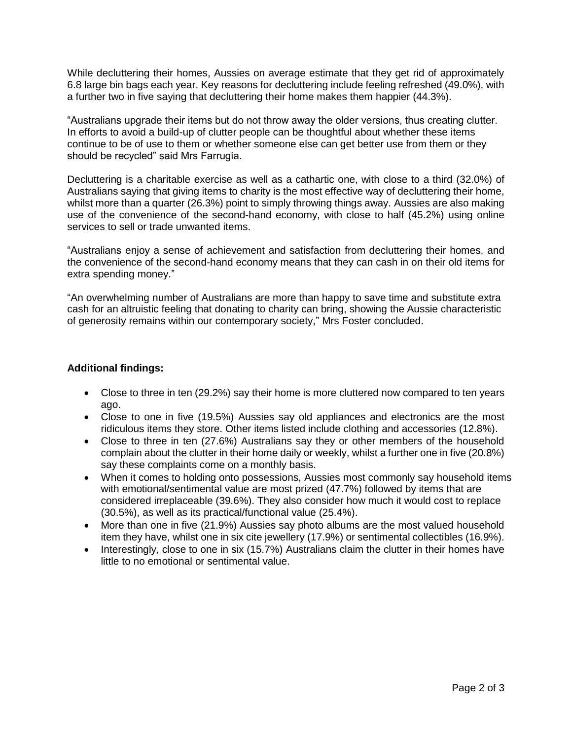While decluttering their homes, Aussies on average estimate that they get rid of approximately 6.8 large bin bags each year. Key reasons for decluttering include feeling refreshed (49.0%), with a further two in five saying that decluttering their home makes them happier (44.3%).

"Australians upgrade their items but do not throw away the older versions, thus creating clutter. In efforts to avoid a build-up of clutter people can be thoughtful about whether these items continue to be of use to them or whether someone else can get better use from them or they should be recycled" said Mrs Farrugia.

Decluttering is a charitable exercise as well as a cathartic one, with close to a third (32.0%) of Australians saying that giving items to charity is the most effective way of decluttering their home, whilst more than a quarter (26.3%) point to simply throwing things away. Aussies are also making use of the convenience of the second-hand economy, with close to half (45.2%) using online services to sell or trade unwanted items.

"Australians enjoy a sense of achievement and satisfaction from decluttering their homes, and the convenience of the second-hand economy means that they can cash in on their old items for extra spending money."

"An overwhelming number of Australians are more than happy to save time and substitute extra cash for an altruistic feeling that donating to charity can bring, showing the Aussie characteristic of generosity remains within our contemporary society," Mrs Foster concluded.

# **Additional findings:**

- Close to three in ten (29.2%) say their home is more cluttered now compared to ten years ago.
- Close to one in five (19.5%) Aussies say old appliances and electronics are the most ridiculous items they store. Other items listed include clothing and accessories (12.8%).
- Close to three in ten (27.6%) Australians say they or other members of the household complain about the clutter in their home daily or weekly, whilst a further one in five (20.8%) say these complaints come on a monthly basis.
- When it comes to holding onto possessions, Aussies most commonly say household items with emotional/sentimental value are most prized (47.7%) followed by items that are considered irreplaceable (39.6%). They also consider how much it would cost to replace (30.5%), as well as its practical/functional value (25.4%).
- More than one in five (21.9%) Aussies say photo albums are the most valued household item they have, whilst one in six cite jewellery (17.9%) or sentimental collectibles (16.9%).
- Interestingly, close to one in six (15.7%) Australians claim the clutter in their homes have little to no emotional or sentimental value.